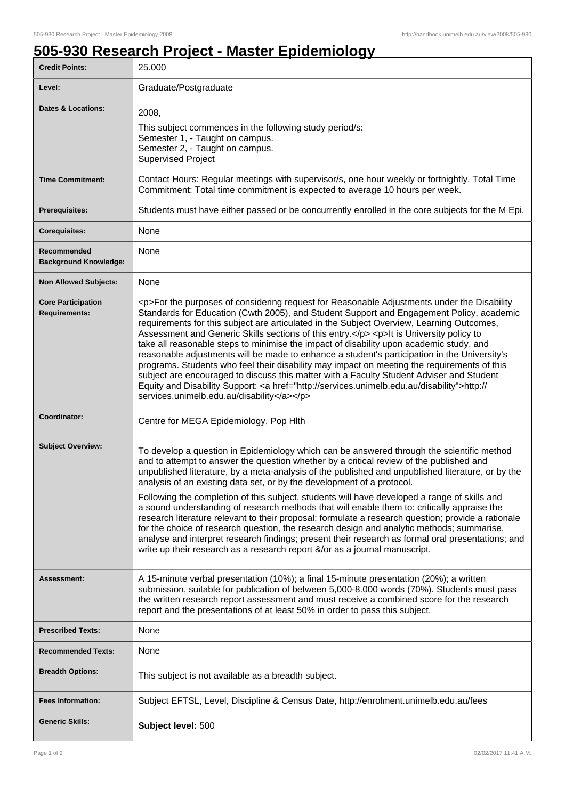## **505-930 Research Project - Master Epidemiology**

| <b>Credit Points:</b>                             | 25.000                                                                                                                                                                                                                                                                                                                                                                                                                                                                                                                                                                                                                                                                                                                                                                                                                                                                                                                       |
|---------------------------------------------------|------------------------------------------------------------------------------------------------------------------------------------------------------------------------------------------------------------------------------------------------------------------------------------------------------------------------------------------------------------------------------------------------------------------------------------------------------------------------------------------------------------------------------------------------------------------------------------------------------------------------------------------------------------------------------------------------------------------------------------------------------------------------------------------------------------------------------------------------------------------------------------------------------------------------------|
| Level:                                            | Graduate/Postgraduate                                                                                                                                                                                                                                                                                                                                                                                                                                                                                                                                                                                                                                                                                                                                                                                                                                                                                                        |
| <b>Dates &amp; Locations:</b>                     | 2008,<br>This subject commences in the following study period/s:<br>Semester 1, - Taught on campus.<br>Semester 2, - Taught on campus.<br><b>Supervised Project</b>                                                                                                                                                                                                                                                                                                                                                                                                                                                                                                                                                                                                                                                                                                                                                          |
| <b>Time Commitment:</b>                           | Contact Hours: Regular meetings with supervisor/s, one hour weekly or fortnightly. Total Time<br>Commitment: Total time commitment is expected to average 10 hours per week.                                                                                                                                                                                                                                                                                                                                                                                                                                                                                                                                                                                                                                                                                                                                                 |
| <b>Prerequisites:</b>                             | Students must have either passed or be concurrently enrolled in the core subjects for the M Epi.                                                                                                                                                                                                                                                                                                                                                                                                                                                                                                                                                                                                                                                                                                                                                                                                                             |
| <b>Corequisites:</b>                              | None                                                                                                                                                                                                                                                                                                                                                                                                                                                                                                                                                                                                                                                                                                                                                                                                                                                                                                                         |
| Recommended<br><b>Background Knowledge:</b>       | None                                                                                                                                                                                                                                                                                                                                                                                                                                                                                                                                                                                                                                                                                                                                                                                                                                                                                                                         |
| <b>Non Allowed Subjects:</b>                      | None                                                                                                                                                                                                                                                                                                                                                                                                                                                                                                                                                                                                                                                                                                                                                                                                                                                                                                                         |
| <b>Core Participation</b><br><b>Requirements:</b> | <p>For the purposes of considering request for Reasonable Adjustments under the Disability<br/>Standards for Education (Cwth 2005), and Student Support and Engagement Policy, academic<br/>requirements for this subject are articulated in the Subject Overview, Learning Outcomes,<br/>Assessment and Generic Skills sections of this entry.</p> <p>lt is University policy to<br/>take all reasonable steps to minimise the impact of disability upon academic study, and<br/>reasonable adjustments will be made to enhance a student's participation in the University's<br/>programs. Students who feel their disability may impact on meeting the requirements of this<br/>subject are encouraged to discuss this matter with a Faculty Student Adviser and Student<br/>Equity and Disability Support: &lt; a href="http://services.unimelb.edu.au/disability"&gt;http://<br/>services.unimelb.edu.au/disability</p> |
| Coordinator:                                      | Centre for MEGA Epidemiology, Pop Hlth                                                                                                                                                                                                                                                                                                                                                                                                                                                                                                                                                                                                                                                                                                                                                                                                                                                                                       |
| <b>Subject Overview:</b>                          | To develop a question in Epidemiology which can be answered through the scientific method<br>and to attempt to answer the question whether by a critical review of the published and<br>unpublished literature, by a meta-analysis of the published and unpublished literature, or by the<br>analysis of an existing data set, or by the development of a protocol.<br>Following the completion of this subject, students will have developed a range of skills and                                                                                                                                                                                                                                                                                                                                                                                                                                                          |
|                                                   | a sound understanding of research methods that will enable them to: critically appraise the<br>research literature relevant to their proposal; formulate a research question; provide a rationale<br>for the choice of research question, the research design and analytic methods; summarise,<br>analyse and interpret research findings; present their research as formal oral presentations; and<br>write up their research as a research report &/or as a journal manuscript.                                                                                                                                                                                                                                                                                                                                                                                                                                            |
| Assessment:                                       | A 15-minute verbal presentation (10%); a final 15-minute presentation (20%); a written<br>submission, suitable for publication of between 5,000-8.000 words (70%). Students must pass<br>the written research report assessment and must receive a combined score for the research<br>report and the presentations of at least 50% in order to pass this subject.                                                                                                                                                                                                                                                                                                                                                                                                                                                                                                                                                            |
| <b>Prescribed Texts:</b>                          | None                                                                                                                                                                                                                                                                                                                                                                                                                                                                                                                                                                                                                                                                                                                                                                                                                                                                                                                         |
| <b>Recommended Texts:</b>                         | None                                                                                                                                                                                                                                                                                                                                                                                                                                                                                                                                                                                                                                                                                                                                                                                                                                                                                                                         |
| <b>Breadth Options:</b>                           | This subject is not available as a breadth subject.                                                                                                                                                                                                                                                                                                                                                                                                                                                                                                                                                                                                                                                                                                                                                                                                                                                                          |
| <b>Fees Information:</b>                          | Subject EFTSL, Level, Discipline & Census Date, http://enrolment.unimelb.edu.au/fees                                                                                                                                                                                                                                                                                                                                                                                                                                                                                                                                                                                                                                                                                                                                                                                                                                         |
| <b>Generic Skills:</b>                            | Subject level: 500                                                                                                                                                                                                                                                                                                                                                                                                                                                                                                                                                                                                                                                                                                                                                                                                                                                                                                           |